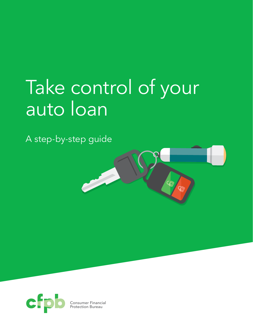# Take control of your auto loan

A step-by-step guide



Consumer Financial Protection Bureau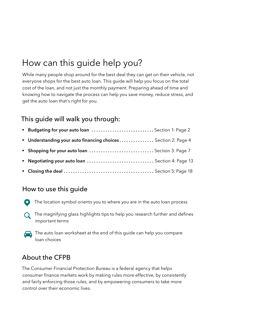# How can this guide help you?

While many people shop around for the best deal they can get on their vehicle, not everyone shops for the best auto loan. This guide will help you focus on the total cost of the loan, and not just the monthly payment. Preparing ahead of time and knowing how to navigate the process can help you save money, reduce stress, and get the auto loan that's right for you.

## This guide will walk you through:

| Budgeting for your auto loan  Section 1: Page 2               |  |
|---------------------------------------------------------------|--|
| • Understanding your auto financing choices Section 2: Page 4 |  |
| <b>Shopping for your auto loan</b> Section 3: Page 7          |  |
| <b>• Negotiating your auto loan</b> Section 4: Page 13        |  |
|                                                               |  |

### How to use this guide

- The location symbol orients you to where you are in the auto loan process
- $\Omega$  The magnifying glass highlights tips to help you research further and defines important terms
- The auto loan worksheet at the end of this guide can help you compare loan choices

## About the CFPB

The Consumer Financial Protection Bureau is a federal agency that helps consumer finance markets work by making rules more effective, by consistently and fairly enforcing those rules, and by empowering consumers to take more control over their economic lives.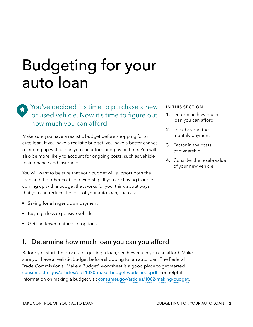# Budgeting for your auto loan

You've decided it's time to purchase a new or used vehicle. Now it's time to figure out how much you can afford.

Make sure you have a realistic budget before shopping for an auto loan. If you have a realistic budget, you have a better chance of ending up with a loan you can afford and pay on time. You will also be more likely to account for ongoing costs, such as vehicle maintenance and insurance.

You will want to be sure that your budget will support both the loan and the other costs of ownership. If you are having trouble coming up with a budget that works for you, think about ways that you can reduce the cost of your auto loan, such as:

- Saving for a larger down payment
- § Buying a less expensive vehicle
- § Getting fewer features or options

## 1. Determine how much loan you can you afford

Before you start the process of getting a loan, see how much you can afford. Make sure you have a realistic budget before shopping for an auto loan. The Federal Trade Commission's "Make a Budget" worksheet is a good place to get started [consumer.ftc.gov/articles/pdf-1020-make-budget-worksheet.pdf](http://consumer.ftc.gov/articles/pdf-1020-make-budget-worksheet.pdf). For helpful information on making a budget visit [consumer.gov/articles/1002-making-budget](http://consumer.gov/articles/1002-making-budget).

#### **IN THIS SECTION**

- **1.** Determine how much loan you can afford
- **2.** Look beyond the monthly payment
- **3.** Factor in the costs of ownership
- **4.** Consider the resale value of your new vehicle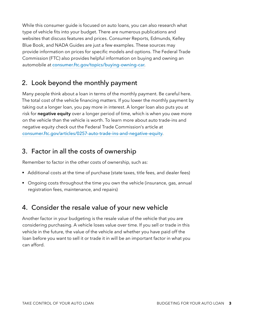While this consumer guide is focused on auto loans, you can also research what type of vehicle fits into your budget. There are numerous publications and websites that discuss features and prices. Consumer Reports, Edmunds, Kelley Blue Book, and NADA Guides are just a few examples. These sources may provide information on prices for specific models and options. The Federal Trade Commission (FTC) also provides helpful information on buying and owning an automobile at [consumer.ftc.gov/topics/buying-owning-car](http://consumer.ftc.gov/topics/buying-owning-car).

## 2. Look beyond the monthly payment

Many people think about a loan in terms of the monthly payment. Be careful here. The total cost of the vehicle financing matters. If you lower the monthly payment by taking out a longer loan, you pay more in interest. A longer loan also puts you at risk for **negative equity** over a longer period of time, which is when you owe more on the vehicle than the vehicle is worth. To learn more about auto trade-ins and negative equity check out the Federal Trade Commission's article at [consumer.ftc.gov/articles/0257-auto-trade-ins-and-negative-equity](http://consumer.ftc.gov/articles/0257-auto-trade-ins-and-negative-equity).

## 3. Factor in all the costs of ownership

Remember to factor in the other costs of ownership, such as:

- Additional costs at the time of purchase (state taxes, title fees, and dealer fees)
- § Ongoing costs throughout the time you own the vehicle (insurance, gas, annual registration fees, maintenance, and repairs)

## 4. Consider the resale value of your new vehicle

Another factor in your budgeting is the resale value of the vehicle that you are considering purchasing. A vehicle loses value over time. If you sell or trade in this vehicle in the future, the value of the vehicle and whether you have paid off the loan before you want to sell it or trade it in will be an important factor in what you can afford.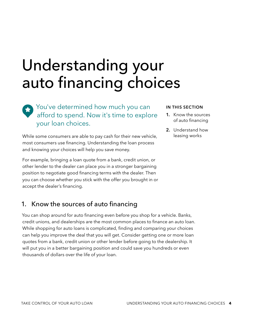# Understanding your auto financing choices

## You've determined how much you can afford to spend. Now it's time to explore your loan choices.

While some consumers are able to pay cash for their new vehicle, most consumers use financing. Understanding the loan process and knowing your choices will help you save money.

For example, bringing a loan quote from a bank, credit union, or other lender to the dealer can place you in a stronger bargaining position to negotiate good financing terms with the dealer. Then you can choose whether you stick with the offer you brought in or accept the dealer's financing.

## 1. Know the sources of auto financing

You can shop around for auto financing even before you shop for a vehicle. Banks, credit unions, and dealerships are the most common places to finance an auto loan. While shopping for auto loans is complicated, finding and comparing your choices can help you improve the deal that you will get. Consider getting one or more loan quotes from a bank, credit union or other lender before going to the dealership. It will put you in a better bargaining position and could save you hundreds or even thousands of dollars over the life of your loan.

#### **IN THIS SECTION**

- **1.** Know the sources of auto financing
- **2.** Understand how leasing works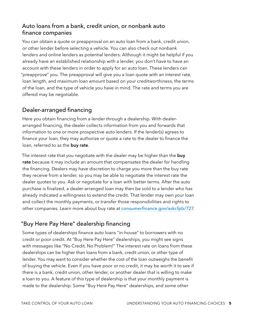#### Auto loans from a bank, credit union, or nonbank auto finance companies

You can obtain a quote or preapproval on an auto loan from a bank, credit union, or other lender before selecting a vehicle. You can also check out nonbank lenders and online lenders as potential lenders. Although it might be helpful if you already have an established relationship with a lender, you don't have to have an account with these lenders in order to apply for an auto loan. These lenders can "preapprove" you. The preapproval will give you a loan quote with an interest rate, loan length, and maximum loan amount based on your creditworthiness, the terms of the loan, and the type of vehicle you have in mind. The rate and terms you are offered may be negotiable.

#### Dealer-arranged financing

Here you obtain financing from a lender through a dealership. With dealerarranged financing, the dealer collects information from you and forwards that information to one or more prospective auto lenders. If the lender(s) agrees to finance your loan, they may authorize or quote a rate to the dealer to finance the loan, referred to as the **buy rate**.

The interest rate that you negotiate with the dealer may be higher than the **buy rate** because it may include an amount that compensates the dealer for handling the financing. Dealers may have discretion to charge you more than the buy rate they receive from a lender, so you may be able to negotiate the interest rate the dealer quotes to you. Ask or negotiate for a loan with better terms. After the auto purchase is finalized, a dealer-arranged loan may then be sold to a lender who has already indicated a willingness to extend the credit. That lender may own your loan and collect the monthly payments, or transfer those responsibilities and rights to other companies. Learn more about buy rate at [consumerfinance.gov/askcfpb/727](http://consumerfinance.gov/askcfpb/727).

#### "Buy Here Pay Here" dealership financing

Some types of dealerships finance auto loans "in-house" to borrowers with no credit or poor credit. At "Buy Here Pay Here" dealerships, you might see signs with messages like "No Credit, No Problem!" The interest rate on loans from these dealerships can be higher than loans from a bank, credit union, or other type of lender. You may want to consider whether the cost of the loan outweighs the benefit of buying the vehicle. Even if you have poor or no credit, it may be worth it to see if there is a bank, credit union, other lender, or another dealer that is willing to make a loan to you. A feature of this type of dealership is that your monthly payment is made to the dealership. Some "Buy Here Pay Here" dealerships, and some other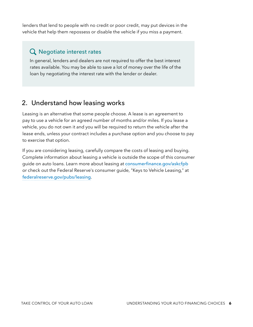lenders that lend to people with no credit or poor credit, may put devices in the vehicle that help them repossess or disable the vehicle if you miss a payment.

### Q Negotiate interest rates

In general, lenders and dealers are not required to offer the best interest rates available. You may be able to save a lot of money over the life of the loan by negotiating the interest rate with the lender or dealer.

## 2. Understand how leasing works

Leasing is an alternative that some people choose. A lease is an agreement to pay to use a vehicle for an agreed number of months and/or miles. If you lease a vehicle, you do not own it and you will be required to return the vehicle after the lease ends, unless your contract includes a purchase option and you choose to pay to exercise that option.

If you are considering leasing, carefully compare the costs of leasing and buying. Complete information about leasing a vehicle is outside the scope of this consumer guide on auto loans. Learn more about leasing at [consumerfinance.gov/askcfpb](http://consumerfinance.gov/askcfpb) or check out the Federal Reserve's consumer guide, "Keys to Vehicle Leasing," at [federalreserve.gov/pubs/leasing](http://federalreserve.gov/pubs/leasing).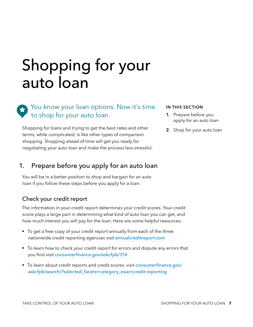# Shopping for your auto loan

You know your loan options. Now it's time to shop for your auto loan.

Shopping for loans and trying to get the best rates and other terms, while complicated, is like other types of comparison shopping. Shopping ahead of time will get you ready for negotiating your auto loan and make the process less stressful.

#### **IN THIS SECTION**

- **1.** Prepare before you apply for an auto loan
- **2.** Shop for your auto loan

## 1. Prepare before you apply for an auto loan

You will be in a better position to shop and bargain for an auto loan if you follow these steps before you apply for a loan.

#### Check your credit report

The information in your credit report determines your credit scores. Your credit score plays a large part in determining what kind of auto loan you can get, and how much interest you will pay for the loan. Here are some helpful resources:

- To get a free copy of your credit report annually from each of the three nationwide credit reporting agencies visit [annualcreditreport.com](http://annualcreditreport.com)
- To learn how to check your credit report for errors and dispute any errors that you find visit [consumerfinance.gov/askcfpb/314](http://consumerfinance.gov/askcfpb/314)
- § To learn about credit reports and credit scores, visit [consumerfinance.gov/](http://consumerfinance.gov/askcfpb/search/?selected_facets=category_exact:credit-reporting) [askcfpb/search/?selected\\_facets=category\\_exact:credit-reporting](http://consumerfinance.gov/askcfpb/search/?selected_facets=category_exact:credit-reporting)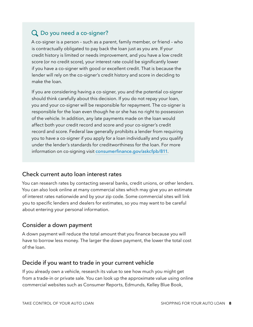## Do you need a co-signer?

A co-signer is a person – such as a parent, family member, or friend – who is contractually obligated to pay back the loan just as you are. If your credit history is limited or needs improvement, and you have a low credit score (or no credit score), your interest rate could be significantly lower if you have a co-signer with good or excellent credit. That is because the lender will rely on the co-signer's credit history and score in deciding to make the loan.

If you are considering having a co-signer, you and the potential co-signer should think carefully about this decision. If you do not repay your loan, you and your co-signer will be responsible for repayment. The co-signer is responsible for the loan even though he or she has no right to possession of the vehicle. In addition, any late payments made on the loan would affect both your credit record and score and your co-signer's credit record and score. Federal law generally prohibits a lender from requiring you to have a co-signer if you apply for a loan individually and you qualify under the lender's standards for creditworthiness for the loan. For more information on co-signing visit [consumerfinance.gov/askcfpb/811](http://consumerfinance.gov/askcfpb/811).

#### Check current auto loan interest rates

You can research rates by contacting several banks, credit unions, or other lenders. You can also look online at many commercial sites which may give you an estimate of interest rates nationwide and by your zip code. Some commercial sites will link you to specific lenders and dealers for estimates, so you may want to be careful about entering your personal information.

#### Consider a down payment

A down payment will reduce the total amount that you finance because you will have to borrow less money. The larger the down payment, the lower the total cost of the loan.

#### Decide if you want to trade in your current vehicle

If you already own a vehicle, research its value to see how much you might get from a trade-in or private sale. You can look up the approximate value using online commercial websites such as Consumer Reports, Edmunds, Kelley Blue Book,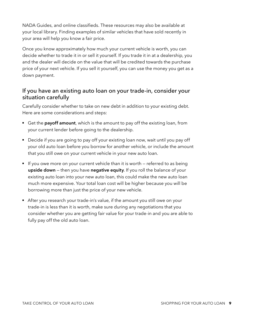NADA Guides, and online classifieds. These resources may also be available at your local library. Finding examples of similar vehicles that have sold recently in your area will help you know a fair price.

Once you know approximately how much your current vehicle is worth, you can decide whether to trade it in or sell it yourself. If you trade it in at a dealership, you and the dealer will decide on the value that will be credited towards the purchase price of your next vehicle. If you sell it yourself, you can use the money you get as a down payment.

#### If you have an existing auto loan on your trade-in, consider your situation carefully

Carefully consider whether to take on new debt in addition to your existing debt. Here are some considerations and steps:

- Get the **payoff amount**, which is the amount to pay off the existing loan, from your current lender before going to the dealership.
- Decide if you are going to pay off your existing loan now, wait until you pay off your old auto loan before you borrow for another vehicle, or include the amount that you still owe on your current vehicle in your new auto loan.
- If you owe more on your current vehicle than it is worth referred to as being **upside down** — then you have **negative equity**. If you roll the balance of your existing auto loan into your new auto loan, this could make the new auto loan much more expensive. Your total loan cost will be higher because you will be borrowing more than just the price of your new vehicle.
- After you research your trade-in's value, if the amount you still owe on your trade-in is less than it is worth, make sure during any negotiations that you consider whether you are getting fair value for your trade-in and you are able to fully pay off the old auto loan.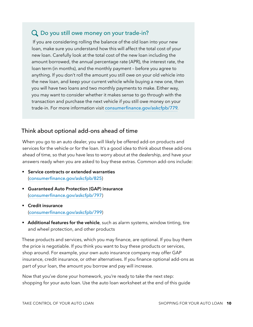## Q Do you still owe money on your trade-in?

 If you are considering rolling the balance of the old loan into your new loan, make sure you understand how this will affect the total cost of your new loan. Carefully look at the total cost of the new loan including the amount borrowed, the annual percentage rate (APR), the interest rate, the loan term (in months), and the monthly payment – before you agree to anything. If you don't roll the amount you still owe on your old vehicle into the new loan, and keep your current vehicle while buying a new one, then you will have two loans and two monthly payments to make. Either way, you may want to consider whether it makes sense to go through with the transaction and purchase the next vehicle if you still owe money on your trade-in. For more information visit [consumerfinance.gov/askcfpb/779](http://consumerfinance.gov/askcfpb/779).

#### Think about optional add-ons ahead of time

When you go to an auto dealer, you will likely be offered add-on products and services for the vehicle or for the loan. It's a good idea to think about these add-ons ahead of time, so that you have less to worry about at the dealership, and have your answers ready when you are asked to buy these extras. Common add-ons include:

- § **Service contracts or extended warranties** ([consumerfinance.gov/askcfpb/825](http://consumerfinance.gov/askcfpb/825))
- § **Guaranteed Auto Protection (GAP) insurance** ([consumerfinance.gov/askcfpb/797](http://consumerfinance.gov/askcfpb/797))
- § **Credit insurance** ([consumerfinance.gov/askcfpb/799](http://consumerfinance.gov/askcfpb/799))
- **Additional features for the vehicle**, such as alarm systems, window tinting, tire and wheel protection, and other products

These products and services, which you may finance, are optional. If you buy them the price is negotiable. If you think you want to buy these products or services, shop around. For example, your own auto insurance company may offer GAP insurance, credit insurance, or other alternatives. If you finance optional add-ons as part of your loan, the amount you borrow and pay will increase.

Now that you've done your homework, you're ready to take the next step: shopping for your auto loan. Use the auto loan worksheet at the end of this guide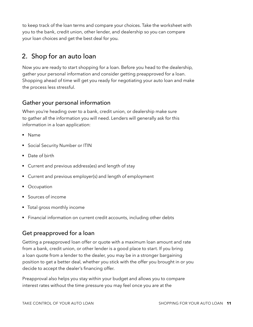to keep track of the loan terms and compare your choices. Take the worksheet with you to the bank, credit union, other lender, and dealership so you can compare your loan choices and get the best deal for you.

## 2. Shop for an auto loan

Now you are ready to start shopping for a loan. Before you head to the dealership, gather your personal information and consider getting preapproved for a loan. Shopping ahead of time will get you ready for negotiating your auto loan and make the process less stressful.

#### Gather your personal information

When you're heading over to a bank, credit union, or dealership make sure to gather all the information you will need. Lenders will generally ask for this information in a loan application:

- § Name
- § Social Security Number or ITIN
- Date of birth
- § Current and previous address(es) and length of stay
- § Current and previous employer(s) and length of employment
- **Occupation**
- § Sources of income
- § Total gross monthly income
- § Financial information on current credit accounts, including other debts

#### Get preapproved for a loan

Getting a preapproved loan offer or quote with a maximum loan amount and rate from a bank, credit union, or other lender is a good place to start. If you bring a loan quote from a lender to the dealer, you may be in a stronger bargaining position to get a better deal, whether you stick with the offer you brought in or you decide to accept the dealer's financing offer.

Preapproval also helps you stay within your budget and allows you to compare interest rates without the time pressure you may feel once you are at the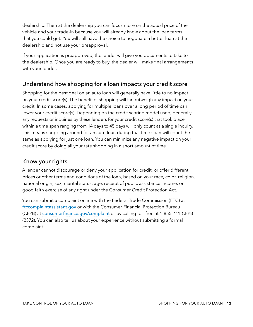dealership. Then at the dealership you can focus more on the actual price of the vehicle and your trade-in because you will already know about the loan terms that you could get. You will still have the choice to negotiate a better loan at the dealership and not use your preapproval.

If your application is preapproved, the lender will give you documents to take to the dealership. Once you are ready to buy, the dealer will make final arrangements with your lender.

#### Understand how shopping for a loan impacts your credit score

Shopping for the best deal on an auto loan will generally have little to no impact on your credit score(s). The benefit of shopping will far outweigh any impact on your credit. In some cases, applying for multiple loans over a long period of time can lower your credit score(s). Depending on the credit scoring model used, generally any requests or inquiries by these lenders for your credit score(s) that took place within a time span ranging from 14 days to 45 days will only count as a single inquiry. This means shopping around for an auto loan during that time span will count the same as applying for just one loan. You can minimize any negative impact on your credit score by doing all your rate shopping in a short amount of time.

#### Know your rights

A lender cannot discourage or deny your application for credit, or offer different prices or other terms and conditions of the loan, based on your race, color, religion, national origin, sex, marital status, age, receipt of public assistance income, or good faith exercise of any right under the Consumer Credit Protection Act.

You can submit a complaint online with the Federal Trade Commission (FTC) at [ftccomplaintassistant.gov](http://ftccomplaintassistant.gov) or with the Consumer Financial Protection Bureau (CFPB) at [consumerfinance.gov/complaint](http://consumerfinance.gov/complaint) or by calling toll-free at 1-855-411-CFPB (2372). You can also tell us about your experience without submitting a formal complaint.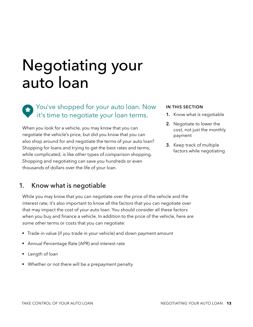# Negotiating your auto loan

You've shopped for your auto loan. Now it's time to negotiate your loan terms.

When you look for a vehicle, you may know that you can negotiate the vehicle's price, but did you know that you can also shop around for and negotiate the terms of your auto loan? Shopping for loans and trying to get the best rates and terms, while complicated, is like other types of comparison shopping. Shopping and negotiating can save you hundreds or even thousands of dollars over the life of your loan.

#### **IN THIS SECTION**

- **1.** Know what is negotiable
- **2.** Negotiate to lower the cost, not just the monthly payment
- **3.** Keep track of multiple factors while negotiating

## 1. Know what is negotiable

While you may know that you can negotiate over the price of the vehicle and the interest rate, it's also important to know all the factors that you can negotiate over that may impact the cost of your auto loan. You should consider all these factors when you buy and finance a vehicle. In addition to the price of the vehicle, here are some other terms or costs that you can negotiate:

- Trade-in value (if you trade in your vehicle) and down payment amount
- § Annual Percentage Rate (APR) and interest rate
- Length of loan
- Whether or not there will be a prepayment penalty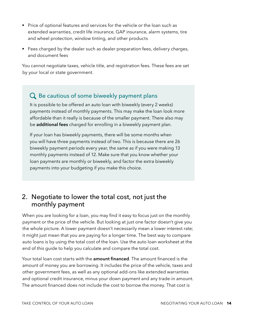- Price of optional features and services for the vehicle or the loan such as extended warranties, credit life insurance, GAP insurance, alarm systems, tire and wheel protection, window tinting, and other products
- Fees charged by the dealer such as dealer preparation fees, delivery charges, and document fees

You cannot negotiate taxes, vehicle title, and registration fees. These fees are set by your local or state government.

### Q Be cautious of some biweekly payment plans

It is possible to be offered an auto loan with biweekly (every 2 weeks) payments instead of monthly payments. This may make the loan look more affordable than it really is because of the smaller payment. There also may be **additional fees** charged for enrolling in a biweekly payment plan.

If your loan has biweekly payments, there will be some months when you will have three payments instead of two. This is because there are 26 biweekly payment periods every year, the same as if you were making 13 monthly payments instead of 12. Make sure that you know whether your loan payments are monthly or biweekly, and factor the extra biweekly payments into your budgeting if you make this choice.

## 2. Negotiate to lower the total cost, not just the monthly payment

When you are looking for a loan, you may find it easy to focus just on the monthly payment or the price of the vehicle. But looking at just one factor doesn't give you the whole picture. A lower payment doesn't necessarily mean a lower interest rate; it might just mean that you are paying for a longer time. The best way to compare auto loans is by using the total cost of the loan. Use the auto loan worksheet at the end of this guide to help you calculate and compare the total cost.

Your total loan cost starts with the **amount financed**. The amount financed is the amount of money you are borrowing. It includes the price of the vehicle, taxes and other government fees, as well as any optional add-ons like extended warranties and optional credit insurance, minus your down payment and any trade-in amount. The amount financed does not include the cost to borrow the money. That cost is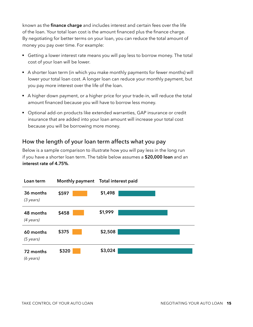known as the **finance charge** and includes interest and certain fees over the life of the loan. Your total loan cost is the amount financed plus the finance charge. By negotiating for better terms on your loan, you can reduce the total amount of money you pay over time. For example:

- Getting a lower interest rate means you will pay less to borrow money. The total cost of your loan will be lower.
- A shorter loan term (in which you make monthly payments for fewer months) will lower your total loan cost. A longer loan can reduce your monthly payment, but you pay more interest over the life of the loan.
- A higher down payment, or a higher price for your trade-in, will reduce the total amount financed because you will have to borrow less money.
- § Optional add-on products like extended warranties, GAP insurance or credit insurance that are added into your loan amount will increase your total cost because you will be borrowing more money.

#### How the length of your loan term affects what you pay

Below is a sample comparison to illustrate how you will pay less in the long run if you have a shorter loan term. The table below assumes a **\$20,000 loan** and an **interest rate of 4.75%**.

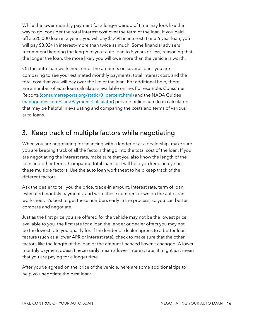While the lower monthly payment for a longer period of time may look like the way to go, consider the total interest cost over the term of the loan. If you paid off a \$20,000 loan in 3 years, you will pay \$1,498 in interest. For a 6 year loan, you will pay \$3,024 in interest--more than twice as much. Some financial advisers recommend keeping the length of your auto loan to 5 years or less, reasoning that the longer the loan, the more likely you will owe more than the vehicle is worth.

On the auto loan worksheet enter the amounts on several loans you are comparing to see your estimated monthly payments, total interest cost, and the total cost that you will pay over the life of the loan. For additional help, there are a number of auto loan calculators available online. For example, Consumer Reports ([consumerreports.org/static/0\\_percent.html](http://consumerreports.org/static/0_percent.html)) and the NADA Guides ([nadaguides.com/Cars/Payment-Calculator](http://nadaguides.com/Cars/Payment-Calculator)) provide online auto loan calculators that may be helpful in evaluating and comparing the costs and terms of various auto loans.

## 3. Keep track of multiple factors while negotiating

When you are negotiating for financing with a lender or at a dealership, make sure you are keeping track of all the factors that go into the total cost of the loan. If you are negotiating the interest rate, make sure that you also know the length of the loan and other terms. Comparing total loan cost will help you keep an eye on these multiple factors. Use the auto loan worksheet to help keep track of the different factors.

Ask the dealer to tell you the price, trade-in amount, interest rate, term of loan, estimated monthly payments, and write these numbers down on the auto loan worksheet. It's best to get these numbers early in the process, so you can better compare and negotiate.

Just as the first price you are offered for the vehicle may not be the lowest price available to you, the first rate for a loan the lender or dealer offers you may not be the lowest rate you qualify for. If the lender or dealer agrees to a better loan feature (such as a lower APR or interest rate), check to make sure that the other factors like the length of the loan or the amount financed haven't changed. A lower monthly payment doesn't necessarily mean a lower interest rate; it might just mean that you are paying for a longer time.

After you've agreed on the price of the vehicle, here are some additional tips to help you negotiate the best loan: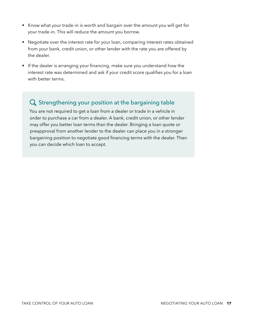- Know what your trade-in is worth and bargain over the amount you will get for your trade-in. This will reduce the amount you borrow.
- Negotiate over the interest rate for your loan, comparing interest rates obtained from your bank, credit union, or other lender with the rate you are offered by the dealer.
- **•** If the dealer is arranging your financing, make sure you understand how the interest rate was determined and ask if your credit score qualifies you for a loan with better terms.

#### Q Strengthening your position at the bargaining table

You are not required to get a loan from a dealer or trade in a vehicle in order to purchase a car from a dealer. A bank, credit union, or other lender may offer you better loan terms than the dealer. Bringing a loan quote or preapproval from another lender to the dealer can place you in a stronger bargaining position to negotiate good financing terms with the dealer. Then you can decide which loan to accept.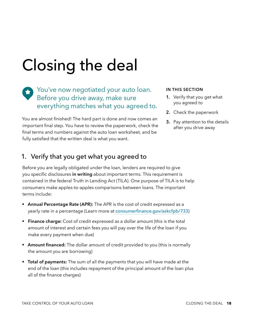# Closing the deal

You've now negotiated your auto loan. Before you drive away, make sure everything matches what you agreed to.

You are almost finished! The hard part is done and now comes an important final step. You have to review the paperwork, check the final terms and numbers against the auto loan worksheet, and be fully satisfied that the written deal is what you want.

#### **IN THIS SECTION**

- **1.** Verify that you get what you agreed to
- **2.** Check the paperwork
- **3.** Pay attention to the details after you drive away

#### 1. Verify that you get what you agreed to

Before you are legally obligated under the loan, lenders are required to give you specific disclosures **in writing** about important terms. This requirement is contained in the federal Truth in Lending Act (TILA). One purpose of TILA is to help consumers make apples-to-apples comparisons between loans. The important terms include:

- **Annual Percentage Rate (APR):** The APR is the cost of credit expressed as a yearly rate in a percentage (Learn more at [consumerfinance.gov/askcfpb/733](http://consumerfinance.gov/askcfpb/733))
- **Finance charge:** Cost of credit expressed as a dollar amount (this is the total amount of interest and certain fees you will pay over the life of the loan if you make every payment when due)
- **Amount financed:** The dollar amount of credit provided to you (this is normally the amount you are borrowing)
- § **Total of payments:** The sum of all the payments that you will have made at the end of the loan (this includes repayment of the principal amount of the loan plus all of the finance charges)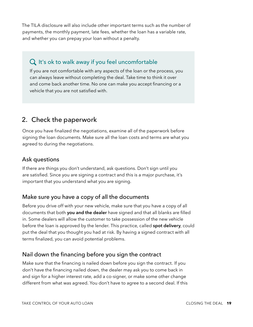The TILA disclosure will also include other important terms such as the number of payments, the monthly payment, late fees, whether the loan has a variable rate, and whether you can prepay your loan without a penalty.

## $Q$  It's ok to walk away if you feel uncomfortable

If you are not comfortable with any aspects of the loan or the process, you can always leave without completing the deal. Take time to think it over and come back another time. No one can make you accept financing or a vehicle that you are not satisfied with.

## 2. Check the paperwork

Once you have finalized the negotiations, examine all of the paperwork before signing the loan documents. Make sure all the loan costs and terms are what you agreed to during the negotiations.

#### Ask questions

If there are things you don't understand, ask questions. Don't sign until you are satisfied. Since you are signing a contract and this is a major purchase, it's important that you understand what you are signing.

#### Make sure you have a copy of all the documents

Before you drive off with your new vehicle, make sure that you have a copy of all documents that both **you and the dealer** have signed and that all blanks are filled in. Some dealers will allow the customer to take possession of the new vehicle before the loan is approved by the lender. This practice, called **spot delivery**, could put the deal that you thought you had at risk. By having a signed contract with all terms finalized, you can avoid potential problems.

#### Nail down the financing before you sign the contract

Make sure that the financing is nailed down before you sign the contract. If you don't have the financing nailed down, the dealer may ask you to come back in and sign for a higher interest rate, add a co-signer, or make some other change different from what was agreed. You don't have to agree to a second deal. If this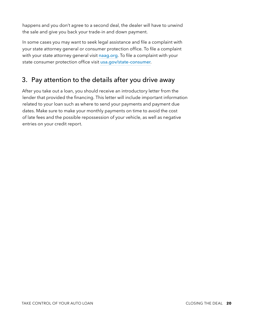happens and you don't agree to a second deal, the dealer will have to unwind the sale and give you back your trade-in and down payment.

In some cases you may want to seek legal assistance and file a complaint with your state attorney general or consumer protection office. To file a complaint with your state attorney general visit [naag.org](http://naag.org). To file a complaint with your state consumer protection office visit [usa.gov/state-consumer](http://usa.gov/state-consumer).

## 3. Pay attention to the details after you drive away

After you take out a loan, you should receive an introductory letter from the lender that provided the financing. This letter will include important information related to your loan such as where to send your payments and payment due dates. Make sure to make your monthly payments on time to avoid the cost of late fees and the possible repossession of your vehicle, as well as negative entries on your credit report.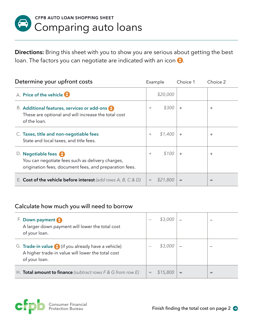

**Directions:** Bring this sheet with you to show you are serious about getting the best loan. The factors you can negotiate are indicated with an icon  $\odot$ .

| Determine your upfront costs                                                                                                         | Example |          | Choice 1  | Choice 2       |
|--------------------------------------------------------------------------------------------------------------------------------------|---------|----------|-----------|----------------|
| A. Price of the vehicle                                                                                                              |         | \$20,000 |           |                |
| B. Additional features, services or add-ons (t)<br>These are optional and will increase the total cost<br>of the loan.               | $^{+}$  | \$300    | $+$       | $^{+}$         |
| C. Taxes, title and non-negotiable fees<br>State and local taxes, and title fees.                                                    | $+$     | \$1,400  | $\ddot{}$ | $\overline{+}$ |
| D. Negotiable fees (1)<br>You can negotiate fees such as delivery charges,<br>origination fees, document fees, and preparation fees. | $^{+}$  | \$100    | $\ddot{}$ | $^{+}$         |
| E. Cost of the vehicle before interest (add rows A, B, C & D)                                                                        |         | \$21,800 | $=$       | $=$            |

#### Calculate how much you will need to borrow

| F. Down payment<br>A larger down payment will lower the total cost<br>of your loan.                                         |     | \$3,000  |  |
|-----------------------------------------------------------------------------------------------------------------------------|-----|----------|--|
| G. Trade-in value (1) (if you already have a vehicle)<br>A higher trade-in value will lower the total cost<br>of your loan. |     | \$3,000  |  |
| H. <b>Total amount to finance</b> (subtract rows $F \& G$ from row $E$ )                                                    | $=$ | \$15,800 |  |

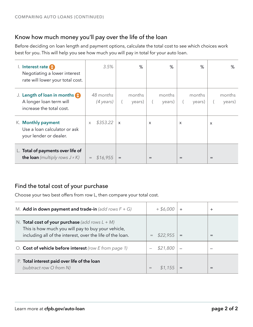### Know how much money you'll pay over the life of the loan

Before deciding on loan length and payment options, calculate the total cost to see which choices work best for you. This will help you see how much you will pay in total for your auto loan.

| I. Interest rate 1<br>Negotiating a lower interest<br>rate will lower your total cost. | 3.5%                                          |          | %                |          | %                |          | %                |          | %                |
|----------------------------------------------------------------------------------------|-----------------------------------------------|----------|------------------|----------|------------------|----------|------------------|----------|------------------|
| J. Length of loan in months<br>A longer loan term will<br>increase the total cost.     | 48 months<br>$(4 \text{ years})$              |          | months<br>years) |          | months<br>years) | $\left($ | months<br>years) | $\left($ | months<br>years) |
| K. Monthly payment<br>Use a loan calculator or ask<br>your lender or dealer.           | \$353.22<br>$\times$                          | $\times$ |                  | $\times$ |                  | X        |                  | $\times$ |                  |
| L. Total of payments over life of<br><b>the loan</b> (multiply rows $J \times K$ )     | \$16,955<br>$\hspace{1.0cm} = \hspace{1.0cm}$ | $=$      |                  | $=$      |                  | =        |                  | $=$      |                  |

### Find the total cost of your purchase

Choose your two best offers from row L, then compare your total cost.

| M. Add in down payment and trade-in (add rows $F + G$ )                                                                                                               | $+$ \$6,000     |     | ┿   |
|-----------------------------------------------------------------------------------------------------------------------------------------------------------------------|-----------------|-----|-----|
| N. Total cost of your purchase (add rows $L + M$ )<br>This is how much you will pay to buy your vehicle,<br>including all of the interest, over the life of the loan. | \$22,955<br>$=$ | $=$ | $=$ |
| O. Cost of vehicle before interest (row E from page 1)                                                                                                                | \$21,800        |     |     |
| P. Total interest paid over life of the loan<br>(subtract row O from N)                                                                                               |                 |     |     |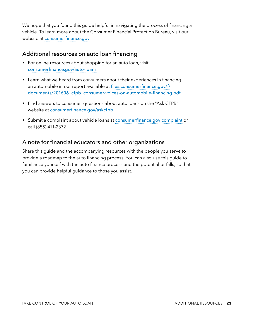We hope that you found this guide helpful in navigating the process of financing a vehicle. To learn more about the Consumer Financial Protection Bureau, visit our website at [consumerfinance.gov](http://consumerfinance.gov).

#### Additional resources on auto loan financing

- For online resources about shopping for an auto loan, visit [consumerfinance.gov/auto-loans](http://consumerfinance.gov/auto-loans)
- Learn what we heard from consumers about their experiences in financing an automobile in our report available at [files.consumerfinance.gov/f/](http://files.consumerfinance.gov/f/documents/201606_cfpb_consumer-voices-on-automobile-financing.pdf) [documents/201606\\_cfpb\\_consumer-voices-on-automobile-financing.pdf](http://files.consumerfinance.gov/f/documents/201606_cfpb_consumer-voices-on-automobile-financing.pdf)
- Find answers to consumer questions about auto loans on the "Ask CFPB" website at [consumerfinance.gov/askcfpb](http://consumerfinance.gov/askcfpb)
- Submit a complaint about vehicle loans at [consumerfinance.gov](http://consumerfinance.gov/complaint) complaint or call (855) 411-2372

#### A note for financial educators and other organizations

Share this guide and the accompanying resources with the people you serve to provide a roadmap to the auto financing process. You can also use this guide to familiarize yourself with the auto finance process and the potential pitfalls, so that you can provide helpful guidance to those you assist.